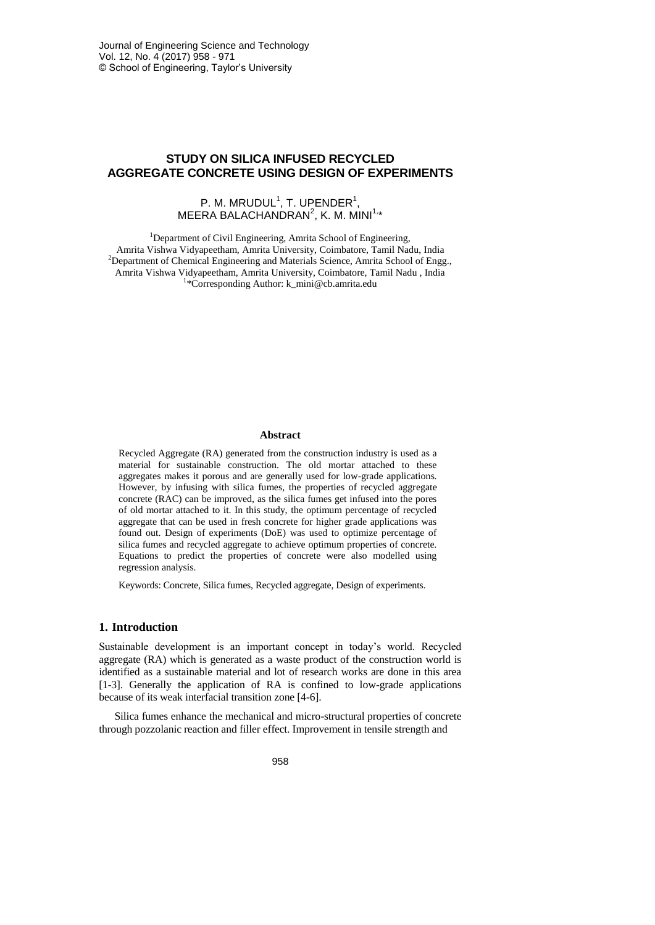# **STUDY ON SILICA INFUSED RECYCLED AGGREGATE CONCRETE USING DESIGN OF EXPERIMENTS**

# P. M. MRUDUL<sup>1</sup>, T. UPENDER<sup>1</sup>,  $MEERA$  BALACHANDRAN<sup>2</sup>, K. M. MINI<sup>1,</sup>\*

<sup>1</sup>Department of Civil Engineering, Amrita School of Engineering, Amrita Vishwa Vidyapeetham, Amrita University, Coimbatore, Tamil Nadu, India <sup>2</sup>Department of Chemical Engineering and Materials Science, Amrita School of Engg., Amrita Vishwa Vidyapeetham, Amrita University, Coimbatore, Tamil Nadu , India 1 \*Corresponding Author: k\_mini@cb.amrita.edu

# **Abstract**

Recycled Aggregate (RA) generated from the construction industry is used as a material for sustainable construction. The old mortar attached to these aggregates makes it porous and are generally used for low-grade applications. However, by infusing with silica fumes, the properties of recycled aggregate concrete (RAC) can be improved, as the silica fumes get infused into the pores of old mortar attached to it. In this study, the optimum percentage of recycled aggregate that can be used in fresh concrete for higher grade applications was found out. Design of experiments (DoE) was used to optimize percentage of silica fumes and recycled aggregate to achieve optimum properties of concrete. Equations to predict the properties of concrete were also modelled using regression analysis.

Keywords: Concrete, Silica fumes, Recycled aggregate, Design of experiments.

#### **1. Introduction**

Sustainable development is an important concept in today's world. Recycled aggregate (RA) which is generated as a waste product of the construction world is identified as a sustainable material and lot of research works are done in this area [1-3]. Generally the application of RA is confined to low-grade applications because of its weak interfacial transition zone [4-6].

Silica fumes enhance the mechanical and micro-structural properties of concrete through pozzolanic reaction and filler effect. Improvement in tensile strength and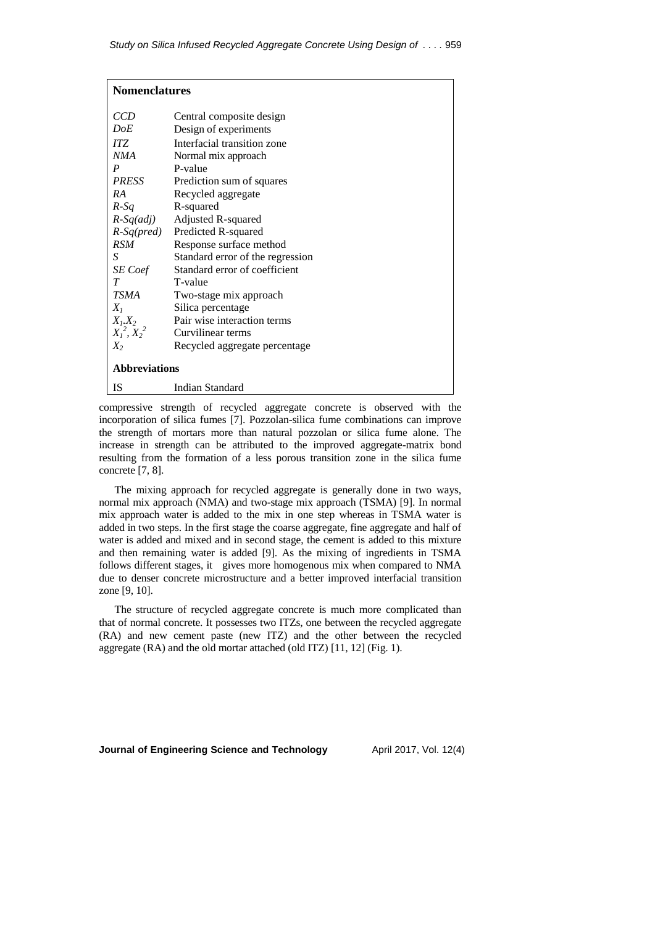| <b>Nomenclatures</b> |                                        |  |  |  |
|----------------------|----------------------------------------|--|--|--|
| <i>CCD</i>           | Central composite design               |  |  |  |
| DoE                  | Design of experiments                  |  |  |  |
| ITZ                  | Interfacial transition zone            |  |  |  |
| NMA                  | Normal mix approach                    |  |  |  |
| $\boldsymbol{P}$     | P-value                                |  |  |  |
| <b>PRESS</b>         | Prediction sum of squares              |  |  |  |
| RA                   | Recycled aggregate                     |  |  |  |
| $R-Sq$               | R-squared                              |  |  |  |
|                      | $R-Sq(adj)$ Adjusted R-squared         |  |  |  |
|                      | R-Sq(pred) Predicted R-squared         |  |  |  |
| RSM                  | Response surface method                |  |  |  |
| S                    | Standard error of the regression       |  |  |  |
|                      | SE Coef Standard error of coefficient  |  |  |  |
| T                    | T-value                                |  |  |  |
| <b>TSMA</b>          | Two-stage mix approach                 |  |  |  |
| $X_I$                | Silica percentage                      |  |  |  |
|                      | $X_1, X_2$ Pair wise interaction terms |  |  |  |
|                      | $X_1^2, X_2^2$ Curvilinear terms       |  |  |  |
| $X_2$                | Recycled aggregate percentage          |  |  |  |
| <b>Abbreviations</b> |                                        |  |  |  |
| IS                   | Indian Standard                        |  |  |  |

compressive strength of recycled aggregate concrete is observed with the incorporation of silica fumes [7]. Pozzolan-silica fume combinations can improve the strength of mortars more than natural pozzolan or silica fume alone. The increase in strength can be attributed to the improved aggregate-matrix bond resulting from the formation of a less porous transition zone in the silica fume concrete [7, 8].

The mixing approach for recycled aggregate is generally done in two ways, normal mix approach (NMA) and two-stage mix approach (TSMA) [9]. In normal mix approach water is added to the mix in one step whereas in TSMA water is added in two steps. In the first stage the coarse aggregate, fine aggregate and half of water is added and mixed and in second stage, the cement is added to this mixture and then remaining water is added [9]. As the mixing of ingredients in TSMA follows different stages, it gives more homogenous mix when compared to NMA due to denser concrete microstructure and a better improved interfacial transition zone [9, 10].

The structure of recycled aggregate concrete is much more complicated than that of normal concrete. It possesses two ITZs, one between the recycled aggregate (RA) and new cement paste (new ITZ) and the other between the recycled aggregate (RA) and the old mortar attached (old ITZ) [11, 12] (Fig. 1).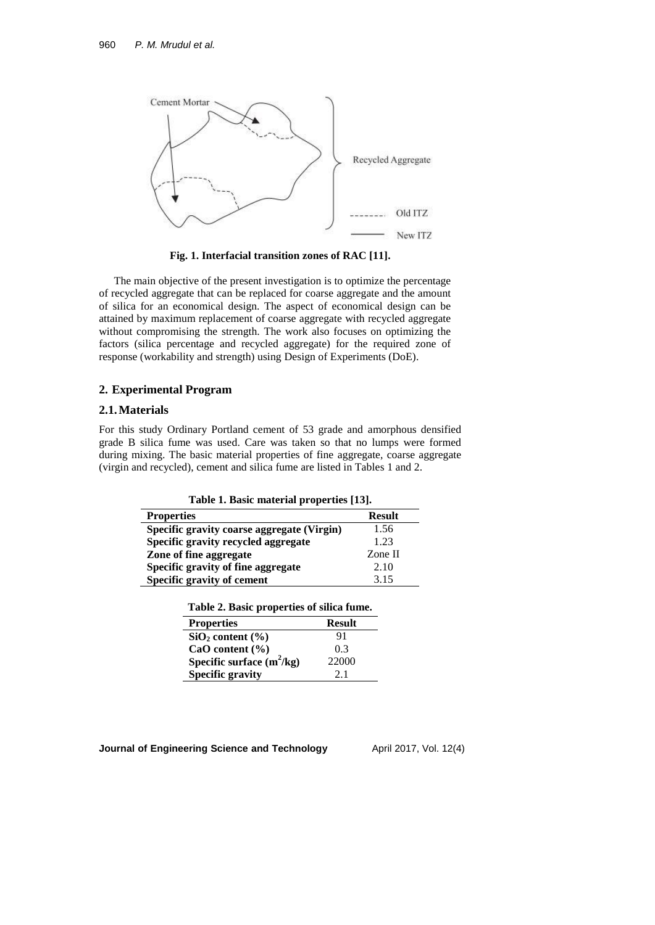

**Fig. 1. Interfacial transition zones of RAC [11].**

The main objective of the present investigation is to optimize the percentage of recycled aggregate that can be replaced for coarse aggregate and the amount of silica for an economical design. The aspect of economical design can be attained by maximum replacement of coarse aggregate with recycled aggregate without compromising the strength. The work also focuses on optimizing the factors (silica percentage and recycled aggregate) for the required zone of response (workability and strength) using Design of Experiments (DoE).

# **2. Experimental Program**

#### **2.1.Materials**

For this study Ordinary Portland cement of 53 grade and amorphous densified grade B silica fume was used. Care was taken so that no lumps were formed during mixing. The basic material properties of fine aggregate, coarse aggregate (virgin and recycled), cement and silica fume are listed in Tables 1 and 2.

**Table 1. Basic material properties [13].**

| <b>Properties</b>                          | <b>Result</b> |
|--------------------------------------------|---------------|
| Specific gravity coarse aggregate (Virgin) | 1.56          |
| Specific gravity recycled aggregate        | 1.23          |
| Zone of fine aggregate                     | Zone II       |
| Specific gravity of fine aggregate         | 2.10          |
| Specific gravity of cement                 | 3.15          |

|  |  | Table 2. Basic properties of silica fume. |  |  |  |
|--|--|-------------------------------------------|--|--|--|
|--|--|-------------------------------------------|--|--|--|

| <b>Properties</b>           | <b>Result</b> |
|-----------------------------|---------------|
| $SiO_2$ content $(\% )$     | 91            |
| CaO content $(\% )$         | 0.3           |
| Specific surface $(m^2/kg)$ | 22000         |
| <b>Specific gravity</b>     | 2.1           |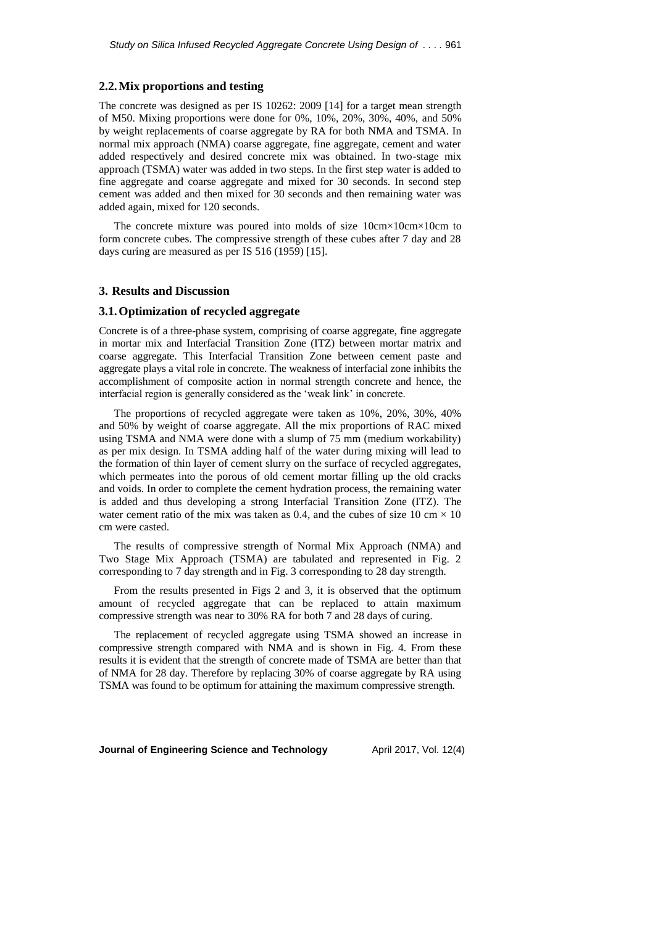# **2.2.Mix proportions and testing**

The concrete was designed as per IS 10262: 2009 [14] for a target mean strength of M50. Mixing proportions were done for 0%, 10%, 20%, 30%, 40%, and 50% by weight replacements of coarse aggregate by RA for both NMA and TSMA. In normal mix approach (NMA) coarse aggregate, fine aggregate, cement and water added respectively and desired concrete mix was obtained. In two-stage mix approach (TSMA) water was added in two steps. In the first step water is added to fine aggregate and coarse aggregate and mixed for 30 seconds. In second step cement was added and then mixed for 30 seconds and then remaining water was added again, mixed for 120 seconds.

The concrete mixture was poured into molds of size 10cm×10cm×10cm to form concrete cubes. The compressive strength of these cubes after 7 day and 28 days curing are measured as per IS 516 (1959) [15].

#### **3. Results and Discussion**

### **3.1.Optimization of recycled aggregate**

Concrete is of a three-phase system, comprising of coarse aggregate, fine aggregate in mortar mix and Interfacial Transition Zone (ITZ) between mortar matrix and coarse aggregate. This Interfacial Transition Zone between cement paste and aggregate plays a vital role in concrete. The weakness of interfacial zone inhibits the accomplishment of composite action in normal strength concrete and hence, the interfacial region is generally considered as the 'weak link' in concrete.

The proportions of recycled aggregate were taken as 10%, 20%, 30%, 40% and 50% by weight of coarse aggregate. All the mix proportions of RAC mixed using TSMA and NMA were done with a slump of 75 mm (medium workability) as per mix design. In TSMA adding half of the water during mixing will lead to the formation of thin layer of cement slurry on the surface of recycled aggregates, which permeates into the porous of old cement mortar filling up the old cracks and voids. In order to complete the cement hydration process, the remaining water is added and thus developing a strong Interfacial Transition Zone (ITZ). The water cement ratio of the mix was taken as 0.4, and the cubes of size 10 cm  $\times$  10 cm were casted.

The results of compressive strength of Normal Mix Approach (NMA) and Two Stage Mix Approach (TSMA) are tabulated and represented in Fig. 2 corresponding to 7 day strength and in Fig. 3 corresponding to 28 day strength.

From the results presented in Figs 2 and 3, it is observed that the optimum amount of recycled aggregate that can be replaced to attain maximum compressive strength was near to 30% RA for both 7 and 28 days of curing.

The replacement of recycled aggregate using TSMA showed an increase in compressive strength compared with NMA and is shown in Fig. 4. From these results it is evident that the strength of concrete made of TSMA are better than that of NMA for 28 day. Therefore by replacing 30% of coarse aggregate by RA using TSMA was found to be optimum for attaining the maximum compressive strength.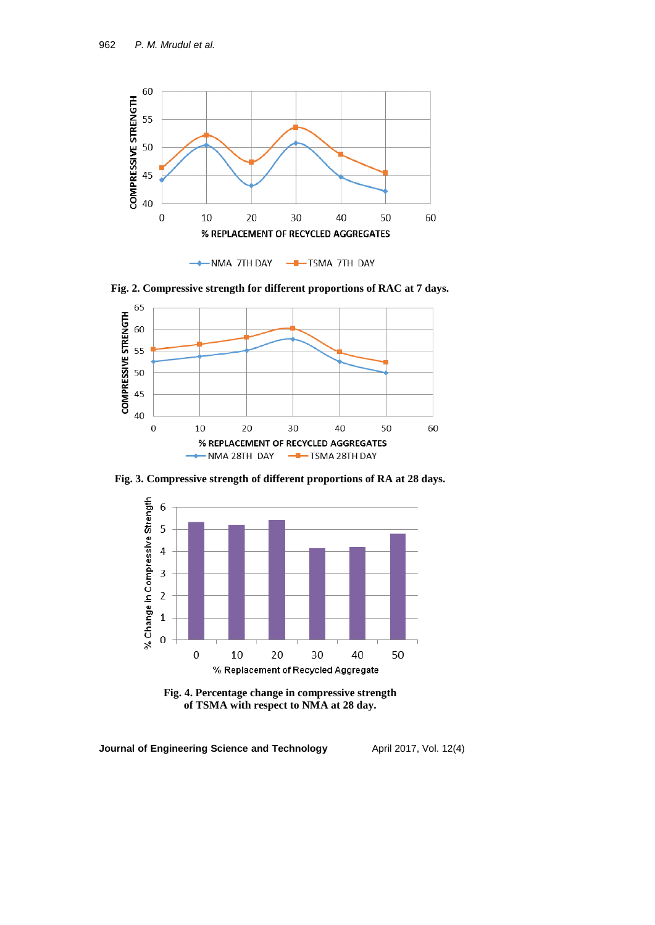

**Fig. 2. Compressive strength for different proportions of RAC at 7 days.**



**Fig. 3. Compressive strength of different proportions of RA at 28 days.**



**Fig. 4. Percentage change in compressive strength of TSMA with respect to NMA at 28 day.**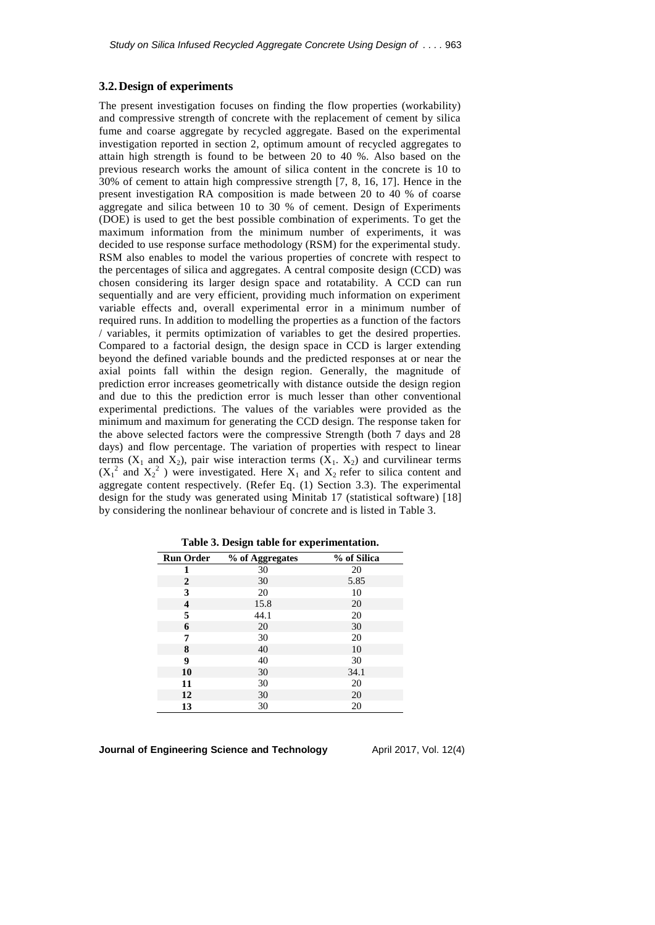# **3.2.Design of experiments**

The present investigation focuses on finding the flow properties (workability) and compressive strength of concrete with the replacement of cement by silica fume and coarse aggregate by recycled aggregate. Based on the experimental investigation reported in section 2, optimum amount of recycled aggregates to attain high strength is found to be between 20 to 40 %. Also based on the previous research works the amount of silica content in the concrete is 10 to 30% of cement to attain high compressive strength [7, 8, 16, 17]. Hence in the present investigation RA composition is made between 20 to 40 % of coarse aggregate and silica between 10 to 30 % of cement. Design of Experiments (DOE) is used to get the best possible combination of experiments. To get the maximum information from the minimum number of experiments, it was decided to use response surface methodology (RSM) for the experimental study. RSM also enables to model the various properties of concrete with respect to the percentages of silica and aggregates. A central composite design (CCD) was chosen considering its larger design space and rotatability. A CCD can run sequentially and are very efficient, providing much information on experiment variable effects and, overall experimental error in a minimum number of required runs. In addition to modelling the properties as a function of the factors / variables, it permits optimization of variables to get the desired properties. Compared to a factorial design, the design space in CCD is larger extending beyond the defined variable bounds and the predicted responses at or near the axial points fall within the design region. Generally, the magnitude of prediction error increases geometrically with distance outside the design region and due to this the prediction error is much lesser than other conventional experimental predictions. The values of the variables were provided as the minimum and maximum for generating the CCD design. The response taken for the above selected factors were the compressive Strength (both 7 days and 28 days) and flow percentage. The variation of properties with respect to linear terms  $(X_1$  and  $X_2$ ), pair wise interaction terms  $(X_1, X_2)$  and curvilinear terms  $(X_1^2$  and  $X_2^2$ ) were investigated. Here  $X_1$  and  $X_2$  refer to silica content and aggregate content respectively. (Refer Eq. (1) Section 3.3). The experimental design for the study was generated using Minitab 17 (statistical software) [18] by considering the nonlinear behaviour of concrete and is listed in Table 3.

|                  | o               |             |
|------------------|-----------------|-------------|
| <b>Run Order</b> | % of Aggregates | % of Silica |
| 1                | 30              | 20          |
| 2                | 30              | 5.85        |
| 3                | 20              | 10          |
| 4                | 15.8            | 20          |
| 5                | 44.1            | 20          |
| 6                | 20              | 30          |
| 7                | 30              | 20          |
| 8                | 40              | 10          |
| 9                | 40              | 30          |
| 10               | 30              | 34.1        |
| 11               | 30              | 20          |
| 12               | 30              | 20          |
| 13               | 30              | 20          |

**Table 3. Design table for experimentation.**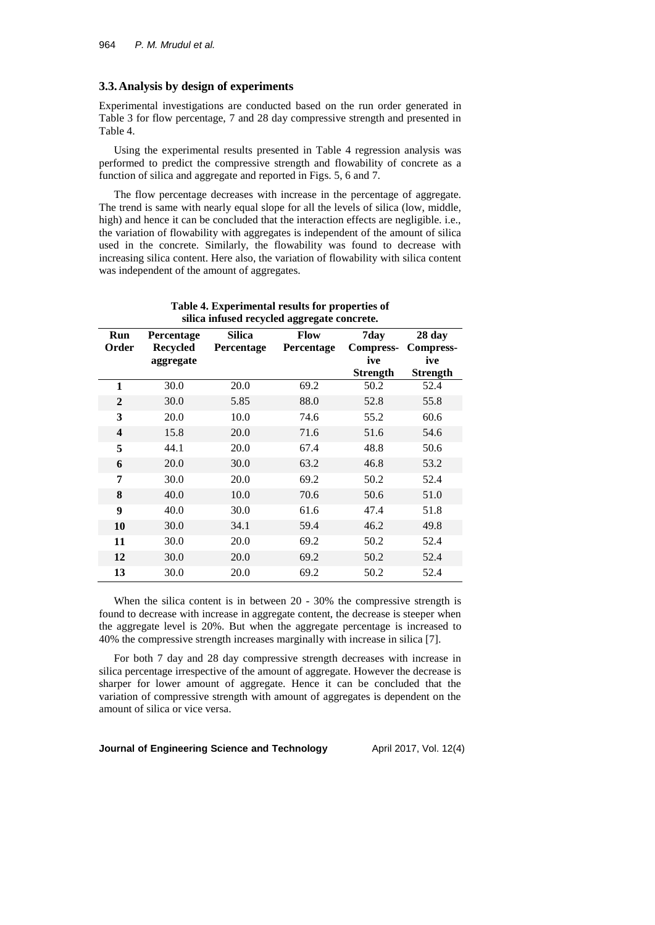### **3.3.Analysis by design of experiments**

Experimental investigations are conducted based on the run order generated in Table 3 for flow percentage, 7 and 28 day compressive strength and presented in Table 4.

Using the experimental results presented in Table 4 regression analysis was performed to predict the compressive strength and flowability of concrete as a function of silica and aggregate and reported in Figs. 5, 6 and 7.

The flow percentage decreases with increase in the percentage of aggregate. The trend is same with nearly equal slope for all the levels of silica (low, middle, high) and hence it can be concluded that the interaction effects are negligible. i.e., the variation of flowability with aggregates is independent of the amount of silica used in the concrete. Similarly, the flowability was found to decrease with increasing silica content. Here also, the variation of flowability with silica content was independent of the amount of aggregates.

|                         | -88- -8-                      |                                    |                           |                          |                            |  |  |
|-------------------------|-------------------------------|------------------------------------|---------------------------|--------------------------|----------------------------|--|--|
| Run<br>Order            | Percentage<br><b>Recycled</b> | <b>Silica</b><br><b>Percentage</b> | Flow<br><b>Percentage</b> | 7day<br><b>Compress-</b> | 28 day<br><b>Compress-</b> |  |  |
|                         | aggregate                     |                                    |                           | ive                      | ive                        |  |  |
|                         |                               |                                    |                           | <b>Strength</b>          | <b>Strength</b>            |  |  |
| 1                       | 30.0                          | 20.0                               | 69.2                      | 50.2                     | 52.4                       |  |  |
| $\boldsymbol{2}$        | 30.0                          | 5.85                               | 88.0                      | 52.8                     | 55.8                       |  |  |
| 3                       | 20.0                          | 10.0                               | 74.6                      | 55.2                     | 60.6                       |  |  |
| $\overline{\mathbf{4}}$ | 15.8                          | 20.0                               | 71.6                      | 51.6                     | 54.6                       |  |  |
| 5                       | 44.1                          | 20.0                               | 67.4                      | 48.8                     | 50.6                       |  |  |
| 6                       | 20.0                          | 30.0                               | 63.2                      | 46.8                     | 53.2                       |  |  |
| 7                       | 30.0                          | 20.0                               | 69.2                      | 50.2                     | 52.4                       |  |  |
| 8                       | 40.0                          | 10.0                               | 70.6                      | 50.6                     | 51.0                       |  |  |
| 9                       | 40.0                          | 30.0                               | 61.6                      | 47.4                     | 51.8                       |  |  |
| 10                      | 30.0                          | 34.1                               | 59.4                      | 46.2                     | 49.8                       |  |  |
| 11                      | 30.0                          | 20.0                               | 69.2                      | 50.2                     | 52.4                       |  |  |
| 12                      | 30.0                          | 20.0                               | 69.2                      | 50.2                     | 52.4                       |  |  |
| 13                      | 30.0                          | 20.0                               | 69.2                      | 50.2                     | 52.4                       |  |  |

**Table 4. Experimental results for properties of silica infused recycled aggregate concrete.**

When the silica content is in between 20 - 30% the compressive strength is found to decrease with increase in aggregate content, the decrease is steeper when the aggregate level is 20%. But when the aggregate percentage is increased to 40% the compressive strength increases marginally with increase in silica [7].

For both 7 day and 28 day compressive strength decreases with increase in silica percentage irrespective of the amount of aggregate. However the decrease is sharper for lower amount of aggregate. Hence it can be concluded that the variation of compressive strength with amount of aggregates is dependent on the amount of silica or vice versa.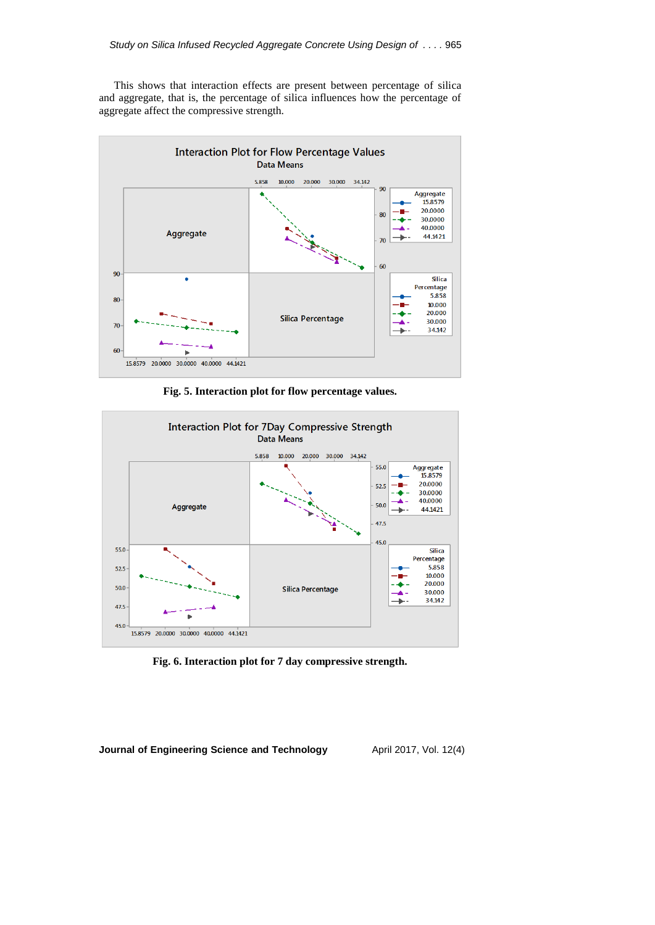This shows that interaction effects are present between percentage of silica and aggregate, that is, the percentage of silica influences how the percentage of aggregate affect the compressive strength.



**Fig. 5. Interaction plot for flow percentage values.**



**Fig. 6. Interaction plot for 7 day compressive strength.**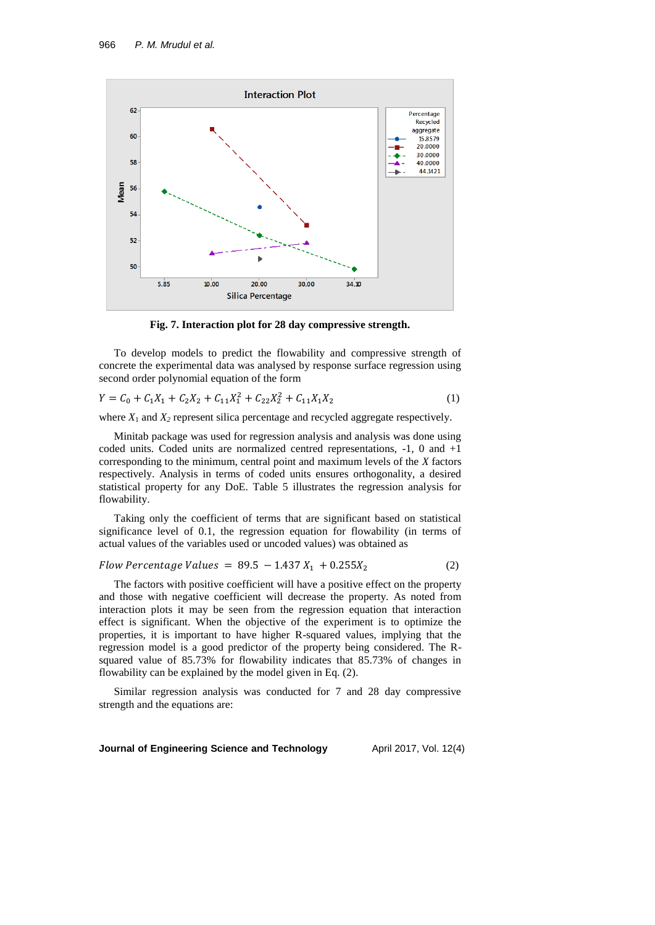

**Fig. 7. Interaction plot for 28 day compressive strength.**

To develop models to predict the flowability and compressive strength of concrete the experimental data was analysed by response surface regression using second order polynomial equation of the form

$$
Y = C_0 + C_1 X_1 + C_2 X_2 + C_{11} X_1^2 + C_{22} X_2^2 + C_{11} X_1 X_2
$$
 (1)

where  $X_1$  and  $X_2$  represent silica percentage and recycled aggregate respectively.

Minitab package was used for regression analysis and analysis was done using coded units. Coded units are normalized centred representations, -1, 0 and +1 corresponding to the minimum, central point and maximum levels of the *X* factors respectively. Analysis in terms of coded units ensures orthogonality, a desired statistical property for any DoE. Table 5 illustrates the regression analysis for flowability.

Taking only the coefficient of terms that are significant based on statistical significance level of 0.1, the regression equation for flowability (in terms of actual values of the variables used or uncoded values) was obtained as

Flow Percentage Values = 
$$
89.5 - 1.437 X_1 + 0.255 X_2
$$
 (2)

The factors with positive coefficient will have a positive effect on the property and those with negative coefficient will decrease the property. As noted from interaction plots it may be seen from the regression equation that interaction effect is significant. When the objective of the experiment is to optimize the properties, it is important to have higher R-squared values, implying that the regression model is a good predictor of the property being considered. The Rsquared value of 85.73% for flowability indicates that 85.73% of changes in flowability can be explained by the model given in Eq. (2).

Similar regression analysis was conducted for 7 and 28 day compressive strength and the equations are: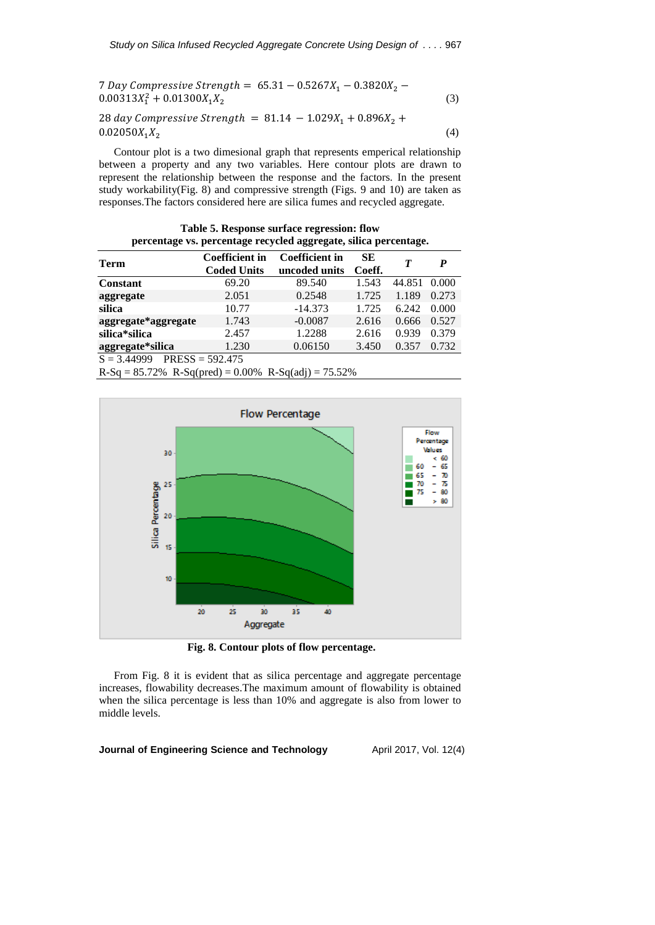| 7 Day Compressive Strength = $65.31 - 0.5267X_1 - 0.3820X_2 - 0.5267X_3$<br>$0.00313X_1^2 + 0.01300X_1X_2$ | (3) |
|------------------------------------------------------------------------------------------------------------|-----|
| 28 day Compressive Strength = $81.14 - 1.029X_1 + 0.896X_2 +$                                              |     |

 $0.02050X_1X_2$ (4)

Contour plot is a two dimesional graph that represents emperical relationship between a property and any two variables. Here contour plots are drawn to represent the relationship between the response and the factors. In the present study workability(Fig. 8) and compressive strength (Figs. 9 and 10) are taken as responses.The factors considered here are silica fumes and recycled aggregate.

**Table 5. Response surface regression: flow percentage vs. percentage recycled aggregate, silica percentage.**

| Term                                                         | <b>Coefficient in</b> | <b>Coefficient in</b> | SE.    | T      | P     |  |
|--------------------------------------------------------------|-----------------------|-----------------------|--------|--------|-------|--|
|                                                              | <b>Coded Units</b>    | uncoded units         | Coeff. |        |       |  |
| <b>Constant</b>                                              | 69.20                 | 89.540                | 1.543  | 44.851 | 0.000 |  |
| aggregate                                                    | 2.051                 | 0.2548                | 1.725  | 1.189  | 0.273 |  |
| silica                                                       | 10.77                 | $-14.373$             | 1.725  | 6.242  | 0.000 |  |
| aggregate*aggregate                                          | 1.743                 | $-0.0087$             | 2.616  | 0.666  | 0.527 |  |
| silica*silica                                                | 2.457                 | 1.2288                | 2.616  | 0.939  | 0.379 |  |
| aggregate*silica                                             | 1.230                 | 0.06150               | 3.450  | 0.357  | 0.732 |  |
| $PRESS = 592.475$<br>$S = 3.44999$                           |                       |                       |        |        |       |  |
| $R-Sq = 85.72\%$ $R-Sq(pred) = 0.00\%$ $R-Sq(adj) = 75.52\%$ |                       |                       |        |        |       |  |



**Fig. 8. Contour plots of flow percentage.**

From Fig. 8 it is evident that as silica percentage and aggregate percentage increases, flowability decreases.The maximum amount of flowability is obtained when the silica percentage is less than 10% and aggregate is also from lower to middle levels.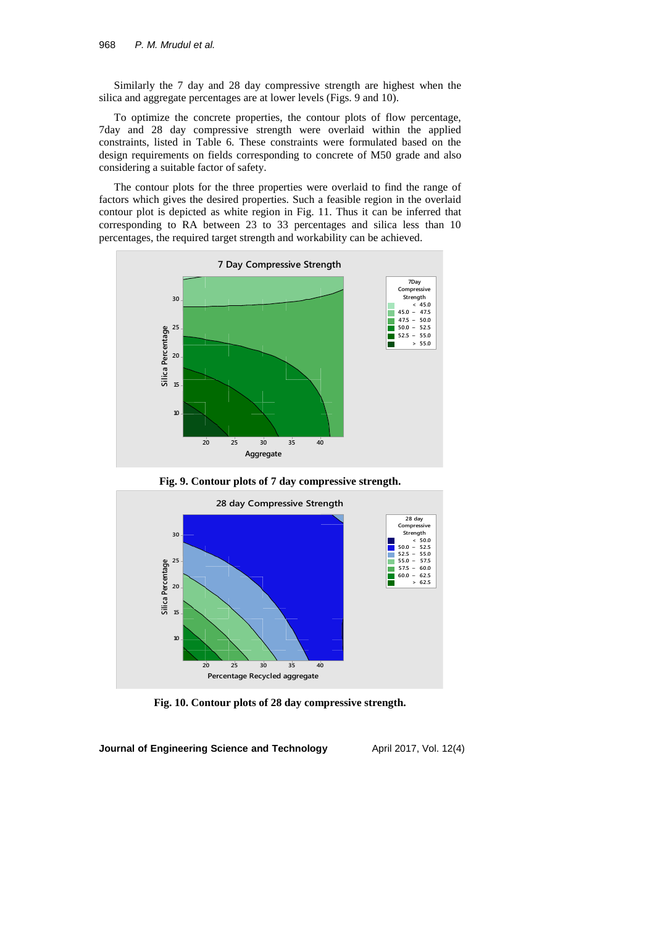Similarly the 7 day and 28 day compressive strength are highest when the silica and aggregate percentages are at lower levels (Figs. 9 and 10).

To optimize the concrete properties, the contour plots of flow percentage, 7day and 28 day compressive strength were overlaid within the applied constraints, listed in Table 6. These constraints were formulated based on the design requirements on fields corresponding to concrete of M50 grade and also considering a suitable factor of safety.

The contour plots for the three properties were overlaid to find the range of factors which gives the desired properties. Such a feasible region in the overlaid contour plot is depicted as white region in Fig. 11. Thus it can be inferred that corresponding to RA between 23 to 33 percentages and silica less than 10 percentages, the required target strength and workability can be achieved.



**Fig. 9. Contour plots of 7 day compressive strength.**



**Fig. 10. Contour plots of 28 day compressive strength.**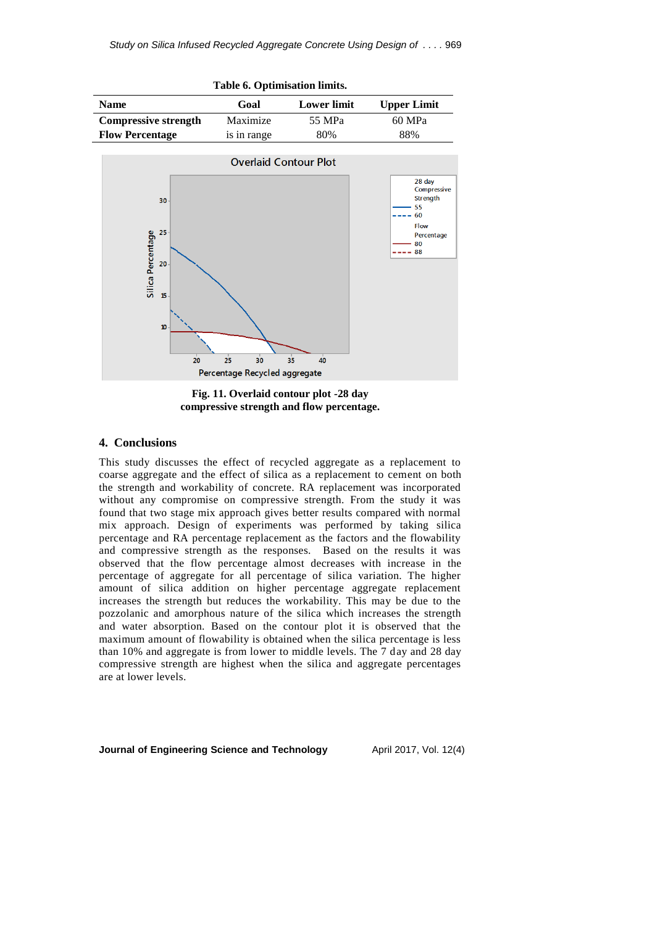

**Fig. 11. Overlaid contour plot -28 day compressive strength and flow percentage.**

# **4. Conclusions**

This study discusses the effect of recycled aggregate as a replacement to coarse aggregate and the effect of silica as a replacement to cement on both the strength and workability of concrete. RA replacement was incorporated without any compromise on compressive strength. From the study it was found that two stage mix approach gives better results compared with normal mix approach. Design of experiments was performed by taking silica percentage and RA percentage replacement as the factors and the flowability and compressive strength as the responses. Based on the results it was observed that the flow percentage almost decreases with increase in the percentage of aggregate for all percentage of silica variation. The higher amount of silica addition on higher percentage aggregate replacement increases the strength but reduces the workability. This may be due to the pozzolanic and amorphous nature of the silica which increases the strength and water absorption. Based on the contour plot it is observed that the maximum amount of flowability is obtained when the silica percentage is less than 10% and aggregate is from lower to middle levels. The 7 day and 28 day compressive strength are highest when the silica and aggregate percentages are at lower levels.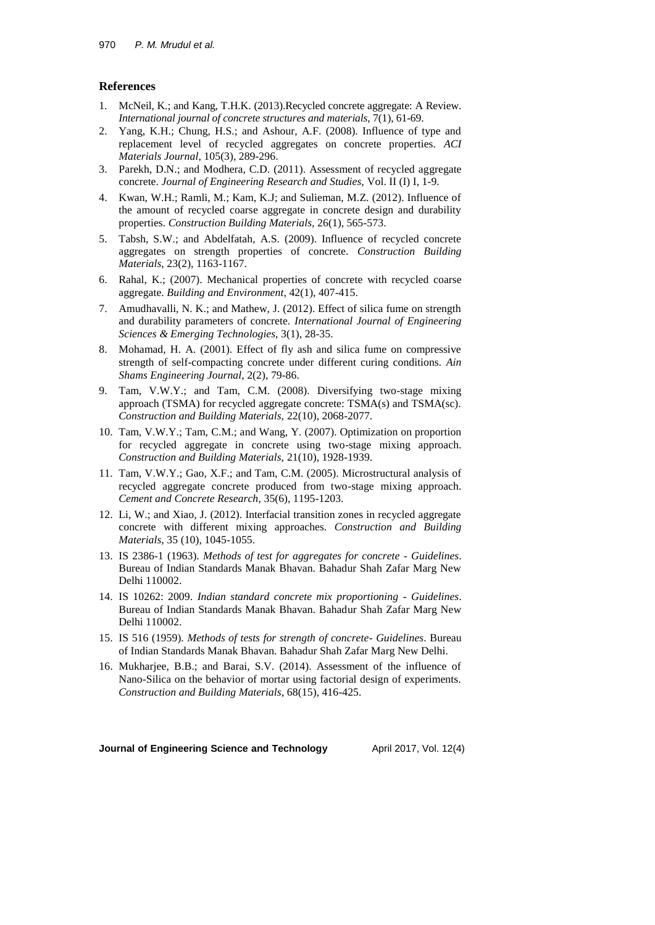# **References**

- 1. McNeil, K.; and Kang, T.H.K. (2013).Recycled concrete aggregate: A Review. *International journal of concrete structures and materials*, 7(1), 61-69.
- 2. Yang, K.H.; Chung, H.S.; and Ashour, A.F. (2008). Influence of type and replacement level of recycled aggregates on concrete properties. *ACI Materials Journal*, 105(3), 289-296.
- 3. Parekh, D.N.; and Modhera, C.D. (2011). Assessment of recycled aggregate concrete. *Journal of Engineering Research and Studies,* Vol. II (I) I, 1-9.
- 4. Kwan, W.H.; Ramli, M.; Kam, K.J; and Sulieman, M.Z. (2012). Influence of the amount of recycled coarse aggregate in concrete design and durability properties. *Construction Building Materials,* 26(1), 565-573.
- 5. Tabsh, S.W.; and Abdelfatah, A.S. (2009). Influence of recycled concrete aggregates on strength properties of concrete. *Construction Building Materials*, 23(2), 1163-1167.
- 6. Rahal, K.; (2007). Mechanical properties of concrete with recycled coarse aggregate. *Building and Environment*, 42(1), 407-415.
- 7. Amudhavalli, N. K.; and Mathew, J. (2012). Effect of silica fume on strength and durability parameters of concrete. *International Journal of Engineering Sciences & Emerging Technologies*, 3(1), 28-35.
- 8. Mohamad, H. A. (2001). Effect of fly ash and silica fume on compressive strength of self-compacting concrete under different curing conditions. *Ain Shams Engineering Journal*, 2(2), 79-86.
- 9. Tam, V.W.Y.; and Tam, C.M. (2008). Diversifying two-stage mixing approach (TSMA) for recycled aggregate concrete: TSMA(s) and TSMA(sc). *Construction and Building Materials,* 22(10), 2068-2077.
- 10. Tam, V.W.Y.; Tam, C.M.; and Wang, Y. (2007). Optimization on proportion for recycled aggregate in concrete using two-stage mixing approach. *Construction and Building Materials,* 21(10), 1928-1939.
- 11. Tam, V.W.Y.; Gao, X.F.; and Tam, C.M. (2005). Microstructural analysis of recycled aggregate concrete produced from two-stage mixing approach. *Cement and Concrete Research*, 35(6), 1195-1203.
- 12. Li, W.; and Xiao, J. (2012). Interfacial transition zones in recycled aggregate concrete with different mixing approaches. *Construction and Building Materials*, 35 (10), 1045-1055.
- 13. IS 2386-1 (1963). *Methods of test for aggregates for concrete - Guidelines*. Bureau of Indian Standards Manak Bhavan. Bahadur Shah Zafar Marg New Delhi 110002.
- 14. IS 10262: 2009. *Indian standard concrete mix proportioning - Guidelines*. Bureau of Indian Standards Manak Bhavan. Bahadur Shah Zafar Marg New Delhi 110002.
- 15. IS 516 (1959). *Methods of tests for strength of concrete- Guidelines*. Bureau of Indian Standards Manak Bhavan. Bahadur Shah Zafar Marg New Delhi.
- 16. Mukharjee, B.B.; and Barai, S.V. (2014). Assessment of the influence of Nano-Silica on the behavior of mortar using factorial design of experiments. *Construction and Building Materials*, 68(15), 416-425.